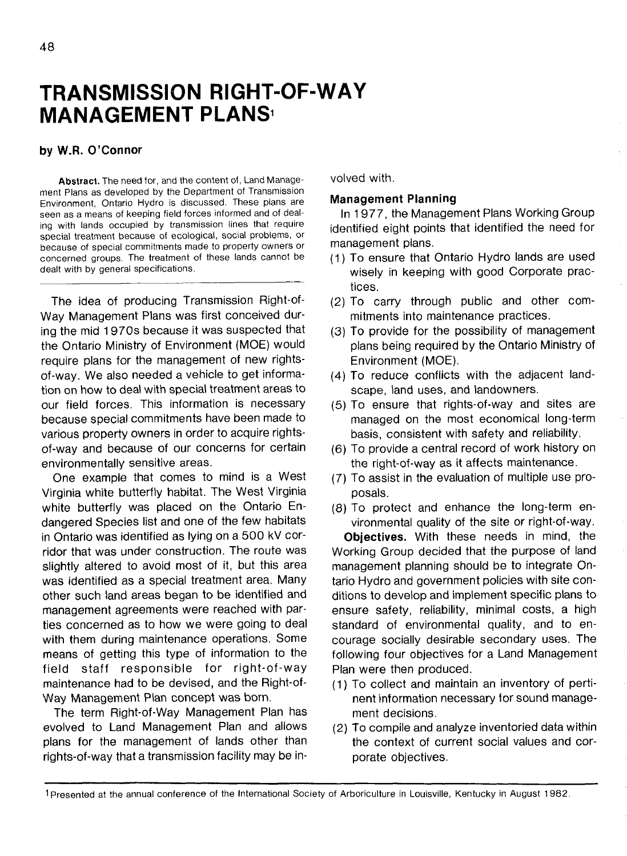# **TRANSMISSION RIGHT-OF-WAY MANAGEMENT PLANS<sup>1</sup>**

### **by W.R. O'Connor**

**Abstract.** The need for, and the content of, Land Management Plans as developed by the Department of Transmission Environment, Ontario Hydro is discussed. These plans are seen as a means of keeping field forces informed and of dealing with lands occupied by transmission lines that require special treatment because of ecological, social problems, or because of special commitments made to property owners or concerned groups. The treatment of these lands cannot be dealt with by general specifications.

The idea of producing Transmission Right-of-Way Management Plans was first conceived during the mid 1970s because it was suspected that the Ontario Ministry of Environment (MOE) would require plans for the management of new rightsof-way. We also needed a vehicle to get information on how to deal with special treatment areas to our field forces. This information is necessary because special commitments have been made to various property owners in order to acquire rightsof-way and because of our concerns for certain environmentally sensitive areas.

One example that comes to mind is a West Virginia white butterfly habitat. The West Virginia white butterfly was placed on the Ontario Endangered Species list and one of the few habitats in Ontario was identified as lying on a 500 kV corridor that was under construction. The route was slightly altered to avoid most of it, but this area was identified as a special treatment area. Many other such land areas began to be identified and management agreements were reached with parties concerned as to how we were going to deal with them during maintenance operations. Some means of getting this type of information to the field staff responsible for right-of-way maintenance had to be devised, and the Right-of-Way Management Plan concept was bom.

The term Right-of-Way Management Plan has evolved to Land Management Plan and allows plans for the management of lands other than rights-of-way that a transmission facility may be involved with.

#### **Management Planning**

In 1 977, the Management Plans Working Group identified eight points that identified the need for management plans.

- (1) To ensure that Ontario Hydro lands are used wisely in keeping with good Corporate practices.
- (2) To carry through public and other commitments into maintenance practices.
- (3) To provide for the possibility of management plans being required by the Ontario Ministry of Environment (MOE).
- (4) To reduce conflicts with the adjacent landscape, land uses, and landowners.
- (5) To ensure that rights-of-way and sites are managed on the most economical long-term basis, consistent with safety and reliability.
- (6) To provide a central record of work history on the right-of-way as it affects maintenance.
- (7) To assist in the evaluation of multiple use proposals.
- (8) To protect and enhance the long-term environmental quality of the site or right-of-way.

**Objectives.** With these needs in mind, the Working Group decided that the purpose of land management planning should be to integrate Ontario Hydro and government policies with site conditions to develop and implement specific plans to ensure safety, reliability, minimal costs, a high standard of environmental quality, and to encourage socially desirable secondary uses. The following four objectives for a Land Management Plan were then produced.

- (1) To collect and maintain an inventory of pertinent information necessary for sound management decisions.
- (2) To compile and analyze inventoried data within the context of current social values and corporate objectives.

<sup>1</sup> Presented at the annual conference of the International Society of Arboriculture in Louisville, Kentucky in August 1982.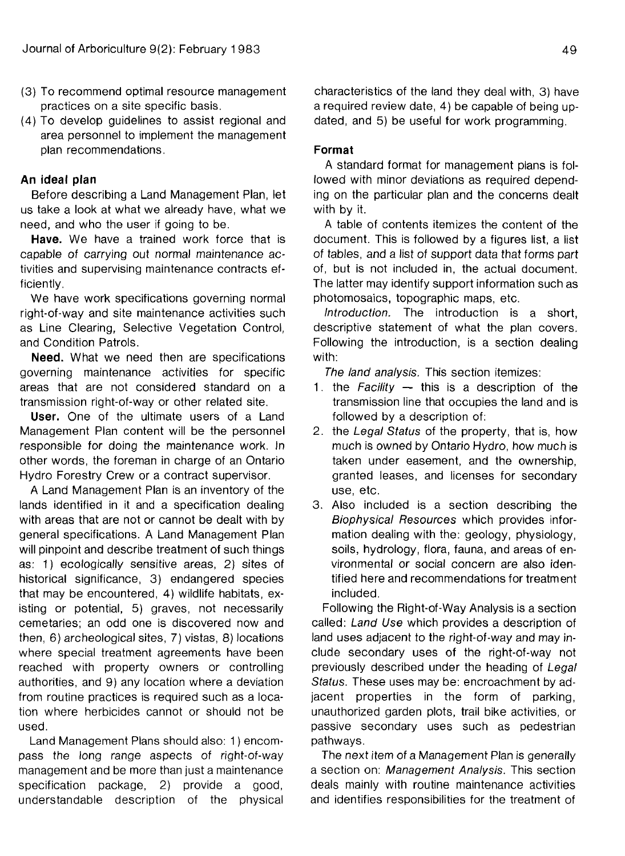- (3) To recommend optimal resource management practices on a site specific basis.
- (4) To develop guidelines to assist regional and area personnel to implement the management plan recommendations.

## **An ideal plan**

Before describing a Land Management Plan, let us take a look at what we already have, what we need, and who the user if going to be.

**Have.** We have a trained work force that is capable of carrying out normal maintenance activities and supervising maintenance contracts efficiently.

We have work specifications governing normal right-of-way and site maintenance activities such as Line Clearing, Selective Vegetation Control, and Condition Patrols.

**Need.** What we need then are specifications governing maintenance activities for specific areas that are not considered standard on a transmission right-of-way or other related site.

**User.** One of the ultimate users of a Land Management Plan content will be the personnel responsible for doing the maintenance work. In other words, the foreman in charge of an Ontario Hydro Forestry Crew or a contract supervisor.

A Land Management Plan is an inventory of the lands identified in it and a specification dealing with areas that are not or cannot be dealt with by general specifications. A Land Management Plan will pinpoint and describe treatment of such things as: 1) ecologically sensitive areas, 2) sites of historical significance, 3) endangered species that may be encountered, 4) wildlife habitats, existing or potential, 5) graves, not necessarily cemetaries; an odd one is discovered now and then, 6) archeological sites, 7) vistas, 8) locations where special treatment agreements have been reached with property owners or controlling authorities, and 9) any location where a deviation from routine practices is required such as a location where herbicides cannot or should not be used.

Land Management Plans should also: 1) encompass the long range aspects of right-of-way management and be more than just a maintenance specification package, 2) provide a good, understandable description of the physical characteristics of the land they deal with, 3) have a required review date, 4) be capable of being updated, and 5) be useful for work programming.

## **Format**

A standard format for management plans is followed with minor deviations as required depending on the particular plan and the concerns dealt with by it.

A table of contents itemizes the content of the document. This is followed by a figures list, a list of tables, and a list of support data that forms part of, but is not included in, the actual document. The latter may identify support information such as photomosaics, topographic maps, etc.

Introduction. The introduction is a short, descriptive statement of what the plan covers. Following the introduction, is a section dealing with:

The land analysis. This section itemizes:

- 1. the Facility  $-$  this is a description of the transmission line that occupies the land and is followed by a description of:
- 2. the Legal Status of the property, that is, how much is owned by Ontario Hydro, how much is taken under easement, and the ownership, granted leases, and licenses for secondary use, etc.
- 3. Also included is a section describing the Biophysical Resources which provides information dealing with the: geology, physiology, soils, hydrology, flora, fauna, and areas of environmental or social concern are also identified here and recommendations for treatment included.

Following the Right-of-Way Analysis is a section called: Land Use which provides a description of land uses adjacent to the right-of-way and may include secondary uses of the right-of-way not previously described under the heading of Legal Status. These uses may be: encroachment by adjacent properties in the form of parking, unauthorized garden plots, trail bike activities, or passive secondary uses such as pedestrian pathways.

The next item of a Management Plan is generally a section on: Management Analysis. This section deals mainly with routine maintenance activities and identifies responsibilities for the treatment of